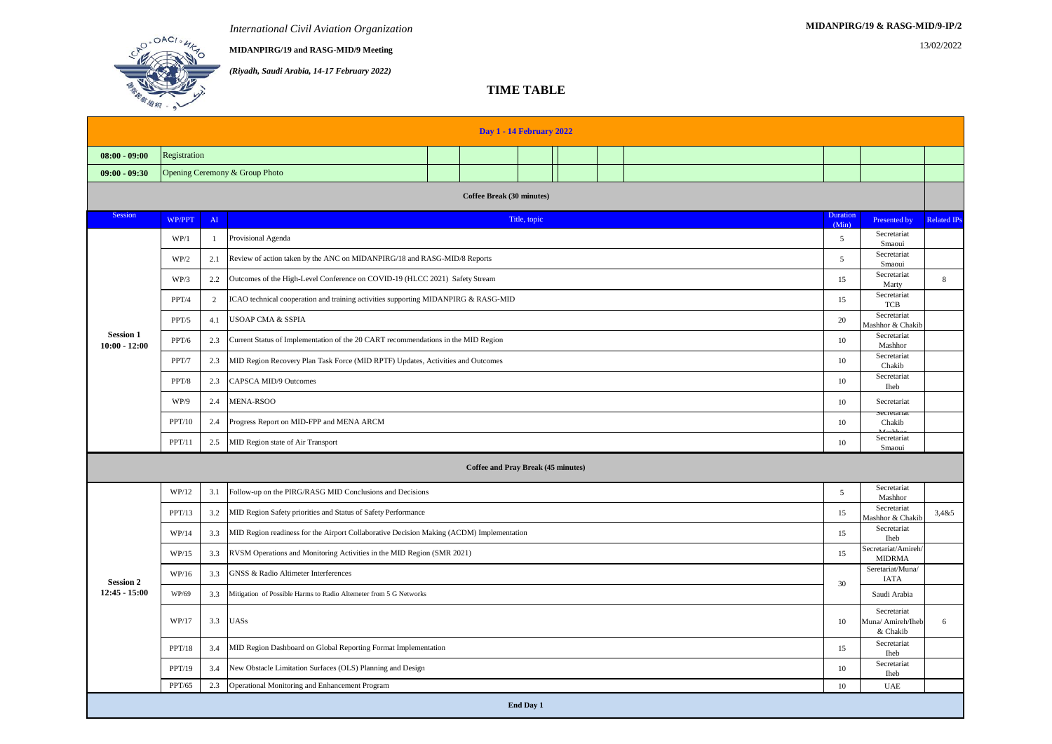**MIDANPIRG/19 and RASG-MID/9 Meeting** 13/02/2022

*(Riyadh, Saudi Arabia, 14-17 February 2022)*

## **TIME TABLE**

| <b>Day 1 - 14 February 2022</b>                                          |                                |                |                                                                                          |  |  |  |  |  |  |    |                                 |                                      |                            |                                              |   |
|--------------------------------------------------------------------------|--------------------------------|----------------|------------------------------------------------------------------------------------------|--|--|--|--|--|--|----|---------------------------------|--------------------------------------|----------------------------|----------------------------------------------|---|
| $08:00 - 09:00$                                                          | Registration                   |                |                                                                                          |  |  |  |  |  |  |    |                                 |                                      |                            |                                              |   |
| $09:00 - 09:30$                                                          | Opening Ceremony & Group Photo |                |                                                                                          |  |  |  |  |  |  |    |                                 |                                      |                            |                                              |   |
| <b>Coffee Break (30 minutes)</b>                                         |                                |                |                                                                                          |  |  |  |  |  |  |    |                                 |                                      |                            |                                              |   |
| Session<br>WP/PPT<br>AI<br>Title, topic                                  |                                |                |                                                                                          |  |  |  |  |  |  |    | Duration<br>(Min)               | Presented by                         | <b>Related IPs</b>         |                                              |   |
|                                                                          | WP/1                           | $\mathbf{1}$   | Provisional Agenda                                                                       |  |  |  |  |  |  |    |                                 |                                      | 5                          | Secretariat<br>Smaoui                        |   |
|                                                                          | WP/2                           | 2.1            | Review of action taken by the ANC on MIDANPIRG/18 and RASG-MID/8 Reports                 |  |  |  |  |  |  |    |                                 | 5                                    | Secretariat<br>Smaoui      |                                              |   |
|                                                                          | WP/3                           | 2.2            | Outcomes of the High-Level Conference on COVID-19 (HLCC 2021) Safety Stream              |  |  |  |  |  |  |    |                                 | 15                                   | Secretariat<br>Marty       | 8                                            |   |
|                                                                          | PPT/4                          | $\overline{2}$ | ICAO technical cooperation and training activities supporting MIDANPIRG & RASG-MID       |  |  |  |  |  |  |    |                                 | 15                                   | Secretariat<br>TCB         |                                              |   |
|                                                                          | PPT/5                          | 4.1            | USOAP CMA & SSPIA                                                                        |  |  |  |  |  |  |    |                                 |                                      | 20                         | Secretariat<br>Mashhor & Chakib              |   |
| <b>Session 1</b><br>$10:00 - 12:00$                                      | PPT/6                          | 2.3            | Current Status of Implementation of the 20 CART recommendations in the MID Region        |  |  |  |  |  |  |    |                                 | 10                                   | Secretariat<br>Mashhor     |                                              |   |
|                                                                          | PPT/7                          | 2.3            | MID Region Recovery Plan Task Force (MID RPTF) Updates, Activities and Outcomes          |  |  |  |  |  |  |    | 10                              | Secretariat<br>Chakib                |                            |                                              |   |
|                                                                          | PPT/8                          | 2.3            | CAPSCA MID/9 Outcomes                                                                    |  |  |  |  |  |  |    | 10                              | Secretariat<br><b>Iheb</b>           |                            |                                              |   |
|                                                                          | WP/9                           | 2.4            | MENA-RSOO                                                                                |  |  |  |  |  |  |    | 10                              | Secretariat                          |                            |                                              |   |
|                                                                          | PPT/10                         | 2.4            | Progress Report on MID-FPP and MENA ARCM                                                 |  |  |  |  |  |  |    | 10                              | Chakib                               |                            |                                              |   |
|                                                                          | PPT/11                         | 2.5            | MID Region state of Air Transport                                                        |  |  |  |  |  |  |    | 10                              | Secretariat<br>Smaoui                |                            |                                              |   |
| <b>Coffee and Pray Break (45 minutes)</b>                                |                                |                |                                                                                          |  |  |  |  |  |  |    |                                 |                                      |                            |                                              |   |
| WP/12<br>Follow-up on the PIRG/RASG MID Conclusions and Decisions<br>3.1 |                                |                |                                                                                          |  |  |  |  |  |  | 5  | Secretariat<br>Mashhor          |                                      |                            |                                              |   |
|                                                                          | PPT/13                         | 3.2            | MID Region Safety priorities and Status of Safety Performance                            |  |  |  |  |  |  | 15 | Secretariat<br>Mashhor & Chakib | 3,485                                |                            |                                              |   |
|                                                                          | WP/14                          | 3.3            | MID Region readiness for the Airport Collaborative Decision Making (ACDM) Implementation |  |  |  |  |  |  |    | 15                              | Secretariat<br><b>Iheb</b>           |                            |                                              |   |
|                                                                          | WP/15                          | 3.3            | RVSM Operations and Monitoring Activities in the MID Region (SMR 2021)                   |  |  |  |  |  |  |    | 15                              | Secretariat/Amireh/<br><b>MIDRMA</b> |                            |                                              |   |
| <b>Session 2</b>                                                         | WP/16                          | 3.3            | GNSS & Radio Altimeter Interferences                                                     |  |  |  |  |  |  |    | 30                              | Seretariat/Muna/<br>IATA             |                            |                                              |   |
| $12:45 - 15:00$                                                          | WP/69                          | 3.3            | Mitigation of Possible Harms to Radio Altemeter from 5 G Networks                        |  |  |  |  |  |  |    |                                 | Saudi Arabia                         |                            |                                              |   |
|                                                                          | WP/17                          | 3.3            | <b>UASs</b>                                                                              |  |  |  |  |  |  |    |                                 |                                      | 10                         | Secretariat<br>Muna/ Amireh/Iheb<br>& Chakib | 6 |
|                                                                          | PPT/18                         | 3.4            | MID Region Dashboard on Global Reporting Format Implementation                           |  |  |  |  |  |  |    |                                 | 15                                   | Secretariat<br><b>Iheb</b> |                                              |   |
|                                                                          | PPT/19                         | 3.4            | New Obstacle Limitation Surfaces (OLS) Planning and Design                               |  |  |  |  |  |  |    |                                 | 10                                   | Secretariat<br><b>Iheb</b> |                                              |   |
| Operational Monitoring and Enhancement Program<br>PPT/65<br>2.3          |                                |                |                                                                                          |  |  |  |  |  |  | 10 | <b>UAE</b>                      |                                      |                            |                                              |   |
| End Day 1                                                                |                                |                |                                                                                          |  |  |  |  |  |  |    |                                 |                                      |                            |                                              |   |

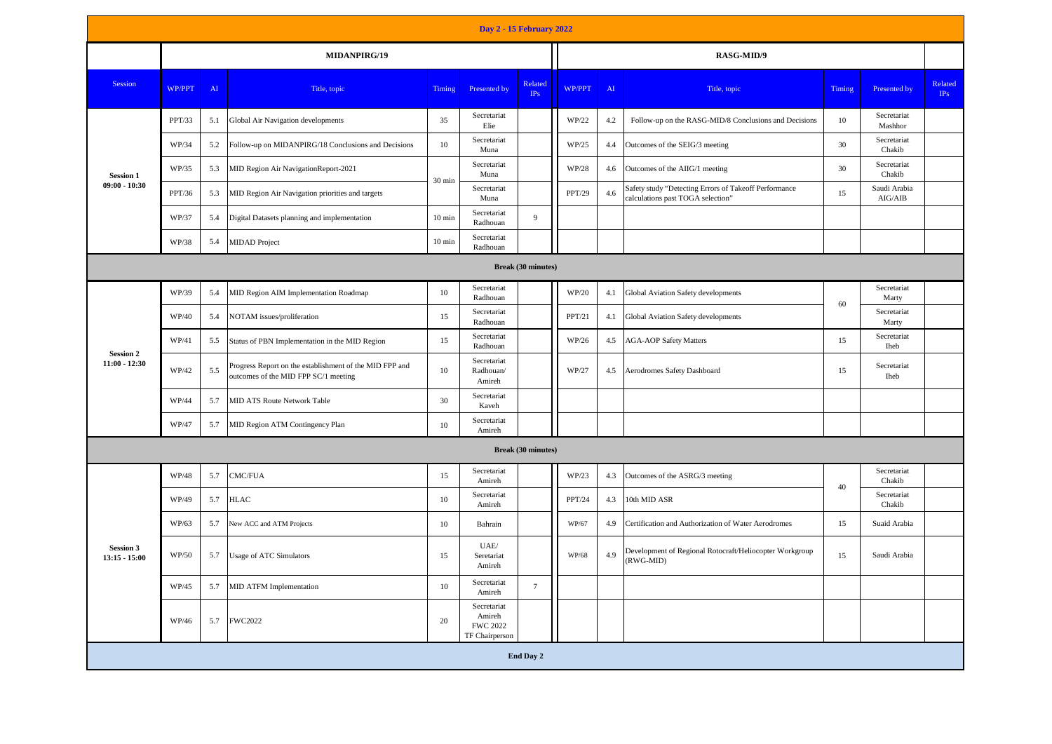| Day 2 - 15 February 2022            |              |     |                                                                                                 |                  |                                                            |                           |        |                                            |                                                                                            |        |                         |                |  |  |  |  |
|-------------------------------------|--------------|-----|-------------------------------------------------------------------------------------------------|------------------|------------------------------------------------------------|---------------------------|--------|--------------------------------------------|--------------------------------------------------------------------------------------------|--------|-------------------------|----------------|--|--|--|--|
|                                     | MIDANPIRG/19 |     |                                                                                                 |                  |                                                            |                           |        |                                            | RASG-MID/9                                                                                 |        |                         |                |  |  |  |  |
| Session                             | WP/PPT       | AI  | Title, topic                                                                                    | Timing           | Presented by                                               | Related<br>IPs            | WP/PPT | AI                                         | Title, topic                                                                               | Timing | Presented by            | Related<br>IPs |  |  |  |  |
| <b>Session 1</b>                    | PPT/33       | 5.1 | Global Air Navigation developments                                                              | 35               | Secretariat<br>Elie                                        |                           | WP/22  | 4.2                                        | Follow-up on the RASG-MID/8 Conclusions and Decisions                                      | 10     | Secretariat<br>Mashhor  |                |  |  |  |  |
|                                     | WP/34        | 5.2 | Follow-up on MIDANPIRG/18 Conclusions and Decisions                                             | 10               | Secretariat<br>Muna                                        |                           | WP/25  | 4.4                                        | Outcomes of the SEIG/3 meeting                                                             | 30     | Secretariat<br>Chakib   |                |  |  |  |  |
|                                     | WP/35        | 5.3 | MID Region Air NavigationReport-2021                                                            | 30 min           | Secretariat<br>Muna                                        |                           | WP/28  | 4.6                                        | Outcomes of the AIIG/1 meeting                                                             | 30     | Secretariat<br>Chakib   |                |  |  |  |  |
| $09:00 - 10:30$                     | PPT/36       | 5.3 | MID Region Air Navigation priorities and targets                                                |                  | Secretariat<br>Muna                                        |                           | PPT/29 | 4.6                                        | Safety study "Detecting Errors of Takeoff Performance<br>calculations past TOGA selection" | 15     | Saudi Arabia<br>AIG/AIB |                |  |  |  |  |
|                                     | WP/37        | 5.4 | Digital Datasets planning and implementation                                                    | $10 \text{ min}$ | Secretariat<br>Radhouan                                    | 9                         |        |                                            |                                                                                            |        |                         |                |  |  |  |  |
|                                     | WP/38        | 5.4 | <b>MIDAD</b> Project                                                                            | $10 \text{ min}$ | Secretariat<br>Radhouan                                    |                           |        |                                            |                                                                                            |        |                         |                |  |  |  |  |
| <b>Break (30 minutes)</b>           |              |     |                                                                                                 |                  |                                                            |                           |        |                                            |                                                                                            |        |                         |                |  |  |  |  |
| <b>Session 2</b><br>$11:00 - 12:30$ | WP/39        | 5.4 | MID Region AIM Implementation Roadmap                                                           | 10               | Secretariat<br>Radhouan                                    |                           | WP/20  | 4.1                                        | Global Aviation Safety developments                                                        | 60     | Secretariat<br>Marty    |                |  |  |  |  |
|                                     | WP/40        | 5.4 | NOTAM issues/proliferation                                                                      | 15               | Secretariat<br>Radhouan                                    |                           | PPT/21 | 4.1<br>Global Aviation Safety developments |                                                                                            |        | Secretariat<br>Marty    |                |  |  |  |  |
|                                     | WP/41        | 5.5 | Status of PBN Implementation in the MID Region                                                  | 15               | Secretariat<br>Radhouan                                    |                           | WP/26  | 4.5<br><b>AGA-AOP Safety Matters</b>       |                                                                                            |        | Secretariat<br>Iheb     |                |  |  |  |  |
|                                     | WP/42        | 5.5 | Progress Report on the establishment of the MID FPP and<br>outcomes of the MID FPP SC/1 meeting | 10               | Secretariat<br>Radhouan/<br>Amireh                         |                           | WP/27  | 4.5                                        | Aerodromes Safety Dashboard                                                                | 15     | Secretariat<br>Iheb     |                |  |  |  |  |
|                                     | WP/44        | 5.7 | <b>MID ATS Route Network Table</b>                                                              | 30               | Secretariat<br>Kaveh                                       |                           |        |                                            |                                                                                            |        |                         |                |  |  |  |  |
|                                     | WP/47        | 5.7 | MID Region ATM Contingency Plan                                                                 | 10               | Secretariat<br>Amireh                                      |                           |        |                                            |                                                                                            |        |                         |                |  |  |  |  |
|                                     |              |     |                                                                                                 |                  |                                                            | <b>Break (30 minutes)</b> |        |                                            |                                                                                            |        |                         |                |  |  |  |  |
|                                     | WP/48        | 5.7 | CMC/FUA                                                                                         | 15               | Secretariat<br>Amireh                                      |                           | WP/23  | 4.3                                        | Outcomes of the ASRG/3 meeting                                                             | 40     | Secretariat<br>Chakib   |                |  |  |  |  |
|                                     | WP/49        | 5.7 | <b>HLAC</b>                                                                                     | 10               | Secretariat<br>Amireh                                      |                           | PPT/24 | 4.3                                        | 10th MID ASR                                                                               |        | Secretariat<br>Chakib   |                |  |  |  |  |
|                                     | WP/63        | 5.7 | New ACC and ATM Projects                                                                        | 10               | Bahrain                                                    |                           | WP/67  | 4.9                                        | Certification and Authorization of Water Aerodromes                                        | 15     | Suaid Arabia            |                |  |  |  |  |
| <b>Session 3</b><br>$13:15 - 15:00$ | WP/50        | 5.7 | <b>Usage of ATC Simulators</b>                                                                  | 15               | UAE/<br>Seretariat<br>Amireh                               |                           | WP/68  | 4.9                                        | Development of Regional Rotocraft/Heliocopter Workgroup<br>(RWG-MID)                       | 15     | Saudi Arabia            |                |  |  |  |  |
|                                     | WP/45        | 5.7 | MID ATFM Implementation                                                                         | 10               | Secretariat<br>Amireh                                      | $\tau$                    |        |                                            |                                                                                            |        |                         |                |  |  |  |  |
|                                     | WP/46        | 5.7 | FWC2022                                                                                         | 20               | Secretariat<br>Amireh<br><b>FWC 2022</b><br>TF Chairperson |                           |        |                                            |                                                                                            |        |                         |                |  |  |  |  |
|                                     |              |     |                                                                                                 |                  |                                                            | End Day 2                 |        |                                            |                                                                                            |        |                         |                |  |  |  |  |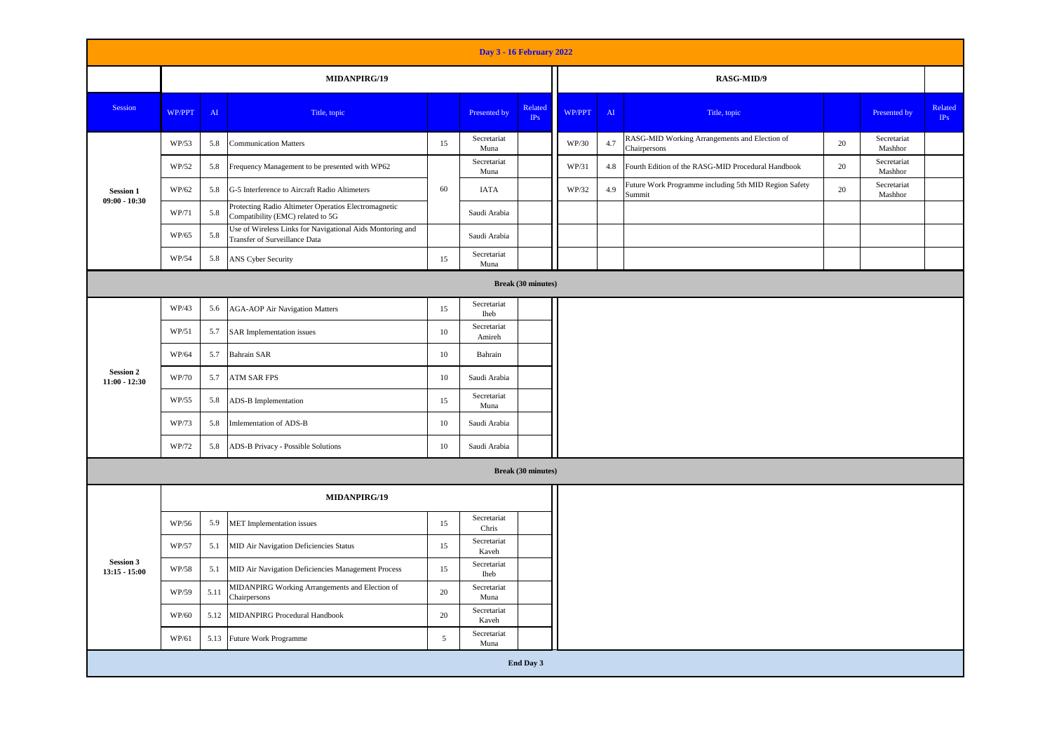| Day 3 - 16 February 2022            |              |            |                                                                                            |                           |                            |                           |        |               |                                                                 |    |                        |                |  |  |  |
|-------------------------------------|--------------|------------|--------------------------------------------------------------------------------------------|---------------------------|----------------------------|---------------------------|--------|---------------|-----------------------------------------------------------------|----|------------------------|----------------|--|--|--|
|                                     | MIDANPIRG/19 |            |                                                                                            |                           |                            |                           |        |               | RASG-MID/9                                                      |    |                        |                |  |  |  |
| Session                             | WP/PPT       | ${\rm AI}$ | Title, topic                                                                               |                           | Presented by               | Related<br>IPs            | WP/PPT | $\mathbf{AI}$ | Title, topic                                                    |    | Presented by           | Related<br>IPs |  |  |  |
|                                     | WP/53        | 5.8        | <b>Communication Matters</b>                                                               | 15                        | Secretariat<br>Muna        |                           | WP/30  | 4.7           | RASG-MID Working Arrangements and Election of<br>Chairpersons   | 20 | Secretariat<br>Mashhor |                |  |  |  |
|                                     | WP/52        | 5.8        | Frequency Management to be presented with WP62                                             |                           | Secretariat<br>Muna        |                           | WP/31  | 4.8           | Fourth Edition of the RASG-MID Procedural Handbook              | 20 | Secretariat<br>Mashhor |                |  |  |  |
| <b>Session 1</b><br>$09:00 - 10:30$ | WP/62        | 5.8        | G-5 Interference to Aircraft Radio Altimeters                                              | 60                        | <b>IATA</b>                |                           | WP/32  | 4.9           | Future Work Programme including 5th MID Region Safety<br>Summit | 20 | Secretariat<br>Mashhor |                |  |  |  |
|                                     | WP/71        | 5.8        | Protecting Radio Altimeter Operatios Electromagnetic<br>Compatibility (EMC) related to 5G  |                           | Saudi Arabia               |                           |        |               |                                                                 |    |                        |                |  |  |  |
|                                     | WP/65        | 5.8        | Use of Wireless Links for Navigational Aids Montoring and<br>Transfer of Surveillance Data |                           | Saudi Arabia               |                           |        |               |                                                                 |    |                        |                |  |  |  |
|                                     | WP/54        | 5.8        | ANS Cyber Security                                                                         | 15                        | Secretariat<br>Muna        |                           |        |               |                                                                 |    |                        |                |  |  |  |
|                                     |              |            |                                                                                            | <b>Break (30 minutes)</b> |                            |                           |        |               |                                                                 |    |                        |                |  |  |  |
|                                     | WP/43        | 5.6        | <b>AGA-AOP Air Navigation Matters</b>                                                      | 15                        | Secretariat<br><b>Iheb</b> |                           |        |               |                                                                 |    |                        |                |  |  |  |
|                                     | WP/51        | 5.7        | <b>SAR</b> Implementation issues                                                           | 10                        | Secretariat<br>Amireh      |                           |        |               |                                                                 |    |                        |                |  |  |  |
|                                     | WP/64        | 5.7        | <b>Bahrain SAR</b>                                                                         | 10                        | Bahrain                    |                           |        |               |                                                                 |    |                        |                |  |  |  |
| <b>Session 2</b><br>$11:00 - 12:30$ | WP/70        | 5.7        | ATM SAR FPS                                                                                | 10                        | Saudi Arabia               |                           |        |               |                                                                 |    |                        |                |  |  |  |
|                                     | WP/55        | 5.8        | ADS-B Implementation                                                                       | 15                        | Secretariat<br>Muna        |                           |        |               |                                                                 |    |                        |                |  |  |  |
|                                     | WP/73        | 5.8        | Imlementation of ADS-B                                                                     | 10                        | Saudi Arabia               |                           |        |               |                                                                 |    |                        |                |  |  |  |
|                                     | WP/72        | 5.8        | ADS-B Privacy - Possible Solutions                                                         | 10                        | Saudi Arabia               |                           |        |               |                                                                 |    |                        |                |  |  |  |
|                                     |              |            |                                                                                            |                           |                            | <b>Break (30 minutes)</b> |        |               |                                                                 |    |                        |                |  |  |  |
|                                     | MIDANPIRG/19 |            |                                                                                            |                           |                            |                           |        |               |                                                                 |    |                        |                |  |  |  |
|                                     | WP/56        | 5.9        | MET Implementation issues                                                                  | 15                        | Secretariat<br>Chris       |                           |        |               |                                                                 |    |                        |                |  |  |  |
|                                     | WP/57        | 5.1        | MID Air Navigation Deficiencies Status                                                     | 15                        | Secretariat<br>Kaveh       |                           |        |               |                                                                 |    |                        |                |  |  |  |
| <b>Session 3</b><br>$13:15 - 15:00$ | WP/58        | 5.1        | MID Air Navigation Deficiencies Management Process                                         | 15                        | Secretariat<br>Iheb        |                           |        |               |                                                                 |    |                        |                |  |  |  |
|                                     | WP/59        | 5.11       | MIDANPIRG Working Arrangements and Election of<br>Chairpersons                             | 20                        | Secretariat<br>Muna        |                           |        |               |                                                                 |    |                        |                |  |  |  |
|                                     | WP/60        | 5.12       | MIDANPIRG Procedural Handbook                                                              | 20                        | Secretariat<br>Kaveh       |                           |        |               |                                                                 |    |                        |                |  |  |  |
|                                     | WP/61        | 5.13       | Future Work Programme                                                                      | 5                         | Secretariat<br>Muna        |                           |        |               |                                                                 |    |                        |                |  |  |  |
|                                     |              |            |                                                                                            |                           |                            | End Day 3                 |        |               |                                                                 |    |                        |                |  |  |  |